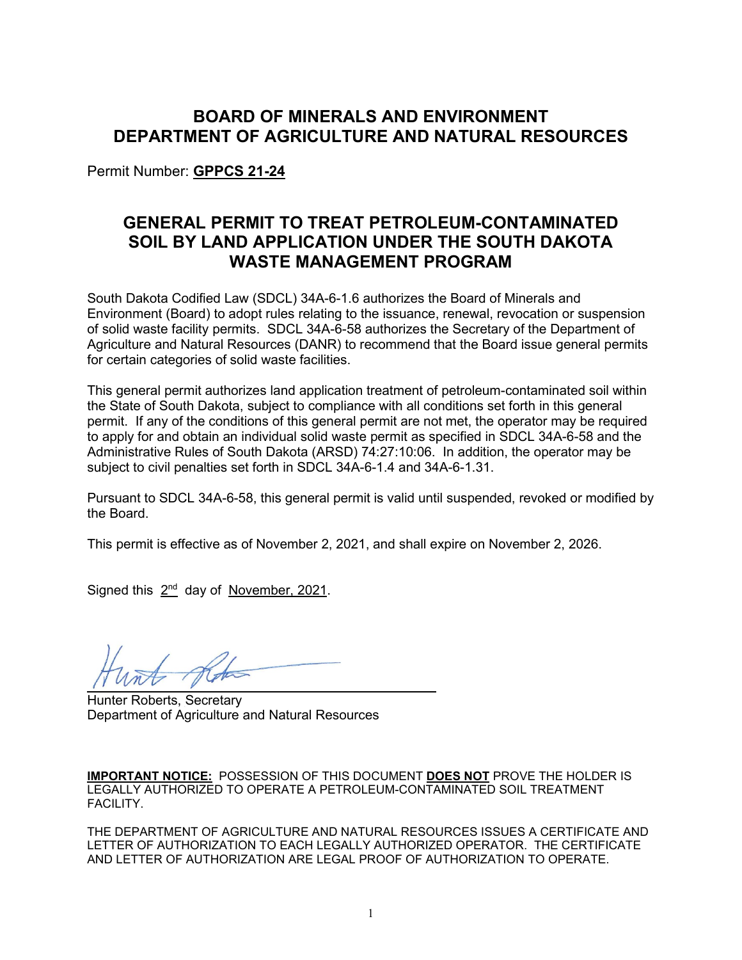# **BOARD OF MINERALS AND ENVIRONMENT DEPARTMENT OF AGRICULTURE AND NATURAL RESOURCES**

Permit Number: **GPPCS 21-24**

# **GENERAL PERMIT TO TREAT PETROLEUM-CONTAMINATED SOIL BY LAND APPLICATION UNDER THE SOUTH DAKOTA WASTE MANAGEMENT PROGRAM**

South Dakota Codified Law (SDCL) 34A-6-1.6 authorizes the Board of Minerals and Environment (Board) to adopt rules relating to the issuance, renewal, revocation or suspension of solid waste facility permits. SDCL 34A-6-58 authorizes the Secretary of the Department of Agriculture and Natural Resources (DANR) to recommend that the Board issue general permits for certain categories of solid waste facilities.

This general permit authorizes land application treatment of petroleum-contaminated soil within the State of South Dakota, subject to compliance with all conditions set forth in this general permit. If any of the conditions of this general permit are not met, the operator may be required to apply for and obtain an individual solid waste permit as specified in SDCL 34A-6-58 and the Administrative Rules of South Dakota (ARSD) 74:27:10:06. In addition, the operator may be subject to civil penalties set forth in SDCL 34A-6-1.4 and 34A-6-1.31.

Pursuant to SDCL 34A-6-58, this general permit is valid until suspended, revoked or modified by the Board.

This permit is effective as of November 2, 2021, and shall expire on November 2, 2026.

Signed this  $2<sup>nd</sup>$  day of November, 2021.

Hunter Roberts, Secretary Department of Agriculture and Natural Resources

**IMPORTANT NOTICE:** POSSESSION OF THIS DOCUMENT **DOES NOT** PROVE THE HOLDER IS LEGALLY AUTHORIZED TO OPERATE A PETROLEUM-CONTAMINATED SOIL TREATMENT FACILITY.

THE DEPARTMENT OF AGRICULTURE AND NATURAL RESOURCES ISSUES A CERTIFICATE AND LETTER OF AUTHORIZATION TO EACH LEGALLY AUTHORIZED OPERATOR. THE CERTIFICATE AND LETTER OF AUTHORIZATION ARE LEGAL PROOF OF AUTHORIZATION TO OPERATE.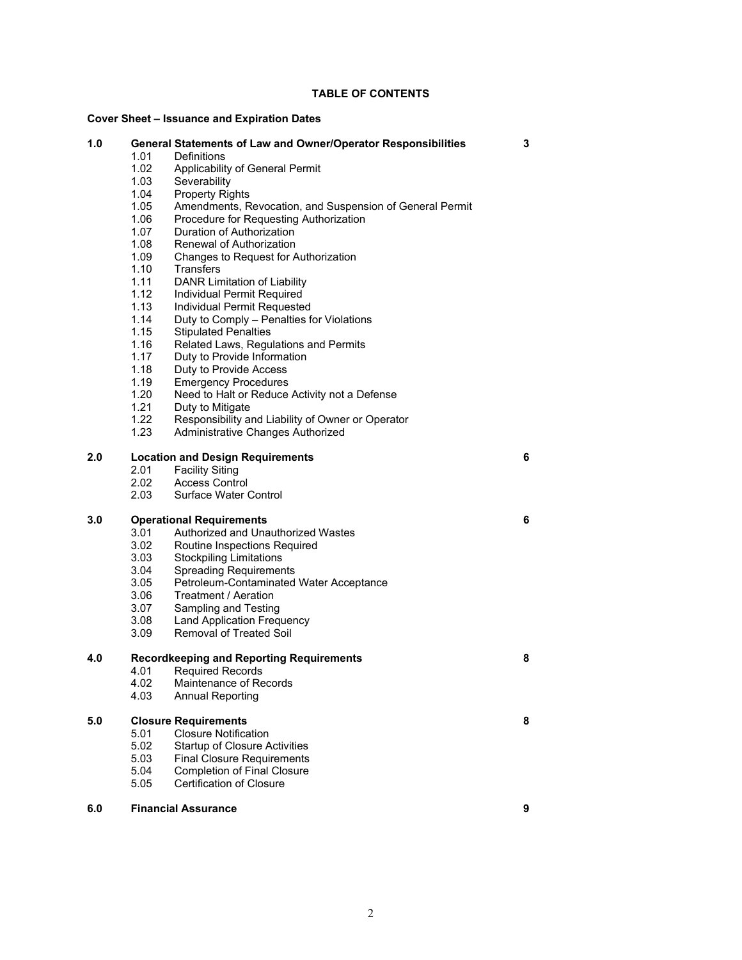## **TABLE OF CONTENTS**

# **Cover Sheet – Issuance and Expiration Dates**

| Cover Sheet – issuance and Expiration Dates |                                                      |                                                                                     |   |
|---------------------------------------------|------------------------------------------------------|-------------------------------------------------------------------------------------|---|
| 1.0                                         | 1.01                                                 | <b>General Statements of Law and Owner/Operator Responsibilities</b><br>Definitions | 3 |
|                                             | 1.02                                                 | Applicability of General Permit                                                     |   |
|                                             | 1.03                                                 | Severability                                                                        |   |
|                                             | 1.04                                                 | <b>Property Rights</b>                                                              |   |
|                                             | 1.05                                                 | Amendments, Revocation, and Suspension of General Permit                            |   |
|                                             | 1.06                                                 | Procedure for Requesting Authorization                                              |   |
|                                             | 1.07                                                 | Duration of Authorization                                                           |   |
|                                             | 1.08                                                 | Renewal of Authorization                                                            |   |
|                                             | 1.09                                                 | Changes to Request for Authorization                                                |   |
|                                             | 1.10                                                 | <b>Transfers</b>                                                                    |   |
|                                             | 1.11                                                 | DANR Limitation of Liability                                                        |   |
|                                             | 1.12                                                 | Individual Permit Required                                                          |   |
|                                             | 1.13                                                 | Individual Permit Requested                                                         |   |
|                                             | 1.14                                                 | Duty to Comply - Penalties for Violations                                           |   |
|                                             | 1.15                                                 | <b>Stipulated Penalties</b>                                                         |   |
|                                             | 1.16                                                 | Related Laws, Regulations and Permits                                               |   |
|                                             | 1.17                                                 | Duty to Provide Information                                                         |   |
|                                             | 1.18                                                 | Duty to Provide Access                                                              |   |
|                                             | 1.19                                                 | <b>Emergency Procedures</b>                                                         |   |
|                                             | 1.20                                                 | Need to Halt or Reduce Activity not a Defense                                       |   |
|                                             | 1.21                                                 | Duty to Mitigate                                                                    |   |
|                                             | 1.22                                                 | Responsibility and Liability of Owner or Operator                                   |   |
|                                             | 1.23                                                 | Administrative Changes Authorized                                                   |   |
| 2.0                                         |                                                      | <b>Location and Design Requirements</b>                                             | 6 |
|                                             | 2.01                                                 | <b>Facility Siting</b>                                                              |   |
|                                             | 2.02                                                 | <b>Access Control</b>                                                               |   |
|                                             | 2.03                                                 | Surface Water Control                                                               |   |
| 3.0<br><b>Operational Requirements</b>      |                                                      |                                                                                     | 6 |
|                                             | 3.01                                                 | Authorized and Unauthorized Wastes                                                  |   |
|                                             | 3.02                                                 | Routine Inspections Required                                                        |   |
|                                             | 3.03                                                 | <b>Stockpiling Limitations</b>                                                      |   |
|                                             | 3.04                                                 | <b>Spreading Requirements</b>                                                       |   |
|                                             | 3.05                                                 | Petroleum-Contaminated Water Acceptance                                             |   |
|                                             | 3.06                                                 | Treatment / Aeration                                                                |   |
|                                             | 3.07                                                 | Sampling and Testing                                                                |   |
|                                             | 3.08                                                 | <b>Land Application Frequency</b>                                                   |   |
|                                             | 3.09                                                 | <b>Removal of Treated Soil</b>                                                      |   |
| 4.0                                         | <b>Recordkeeping and Reporting Requirements</b><br>8 |                                                                                     |   |
|                                             | 4.01                                                 | <b>Required Records</b>                                                             |   |
|                                             | 4.02                                                 | Maintenance of Records                                                              |   |
|                                             | 4.03                                                 | <b>Annual Reporting</b>                                                             |   |
| 5.0                                         | <b>Closure Requirements</b><br>8                     |                                                                                     |   |
|                                             | 5.01                                                 | <b>Closure Notification</b>                                                         |   |
|                                             | 5.02                                                 | <b>Startup of Closure Activities</b>                                                |   |
|                                             | 5.03                                                 | <b>Final Closure Requirements</b>                                                   |   |
|                                             | 5.04                                                 | <b>Completion of Final Closure</b>                                                  |   |
|                                             | 5.05                                                 | Certification of Closure                                                            |   |
|                                             |                                                      |                                                                                     |   |

# **6.0 Financial Assurance 9**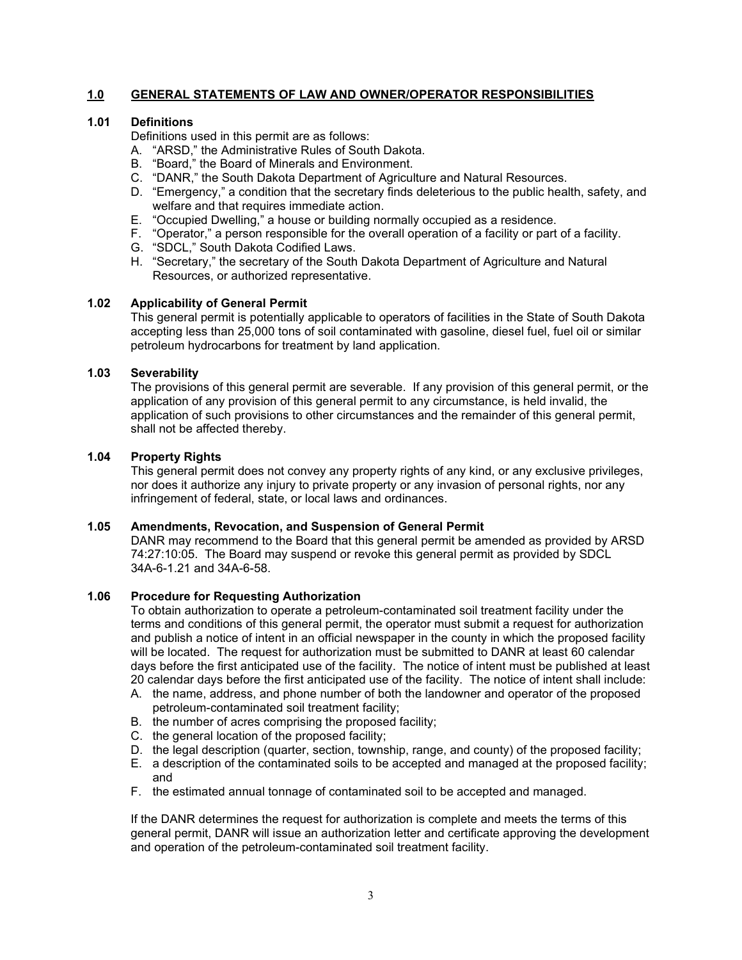# **1.0 GENERAL STATEMENTS OF LAW AND OWNER/OPERATOR RESPONSIBILITIES**

# **1.01 Definitions**

Definitions used in this permit are as follows:

- A. "ARSD," the Administrative Rules of South Dakota.
- B. "Board," the Board of Minerals and Environment.
- C. "DANR," the South Dakota Department of Agriculture and Natural Resources.
- D. "Emergency," a condition that the secretary finds deleterious to the public health, safety, and welfare and that requires immediate action.
- E. "Occupied Dwelling," a house or building normally occupied as a residence.
- F. "Operator," a person responsible for the overall operation of a facility or part of a facility.
- G. "SDCL," South Dakota Codified Laws.
- H. "Secretary," the secretary of the South Dakota Department of Agriculture and Natural Resources, or authorized representative.

## **1.02 Applicability of General Permit**

This general permit is potentially applicable to operators of facilities in the State of South Dakota accepting less than 25,000 tons of soil contaminated with gasoline, diesel fuel, fuel oil or similar petroleum hydrocarbons for treatment by land application.

## **1.03 Severability**

The provisions of this general permit are severable. If any provision of this general permit, or the application of any provision of this general permit to any circumstance, is held invalid, the application of such provisions to other circumstances and the remainder of this general permit, shall not be affected thereby.

# **1.04 Property Rights**

This general permit does not convey any property rights of any kind, or any exclusive privileges, nor does it authorize any injury to private property or any invasion of personal rights, nor any infringement of federal, state, or local laws and ordinances.

## **1.05 Amendments, Revocation, and Suspension of General Permit**

DANR may recommend to the Board that this general permit be amended as provided by ARSD 74:27:10:05. The Board may suspend or revoke this general permit as provided by SDCL 34A-6-1.21 and 34A-6-58.

### **1.06 Procedure for Requesting Authorization**

To obtain authorization to operate a petroleum-contaminated soil treatment facility under the terms and conditions of this general permit, the operator must submit a request for authorization and publish a notice of intent in an official newspaper in the county in which the proposed facility will be located. The request for authorization must be submitted to DANR at least 60 calendar days before the first anticipated use of the facility. The notice of intent must be published at least 20 calendar days before the first anticipated use of the facility. The notice of intent shall include:

- A. the name, address, and phone number of both the landowner and operator of the proposed petroleum-contaminated soil treatment facility;
- B. the number of acres comprising the proposed facility;
- C. the general location of the proposed facility;
- D. the legal description (quarter, section, township, range, and county) of the proposed facility;
- E. a description of the contaminated soils to be accepted and managed at the proposed facility; and
- F. the estimated annual tonnage of contaminated soil to be accepted and managed.

If the DANR determines the request for authorization is complete and meets the terms of this general permit, DANR will issue an authorization letter and certificate approving the development and operation of the petroleum-contaminated soil treatment facility.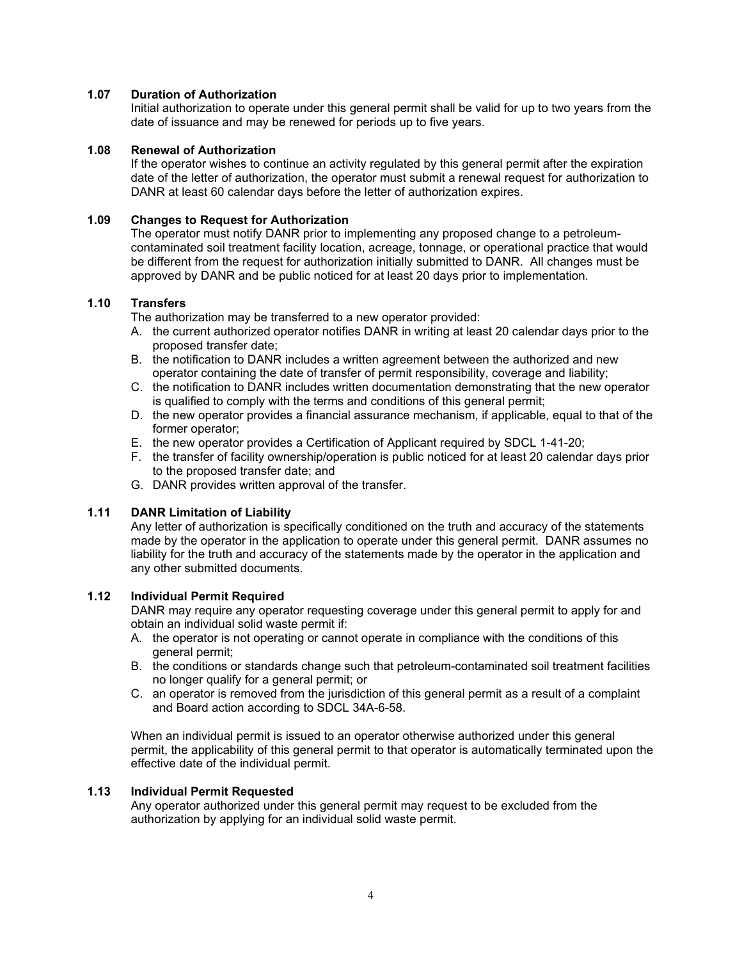## **1.07 Duration of Authorization**

Initial authorization to operate under this general permit shall be valid for up to two years from the date of issuance and may be renewed for periods up to five years.

## **1.08 Renewal of Authorization**

If the operator wishes to continue an activity regulated by this general permit after the expiration date of the letter of authorization, the operator must submit a renewal request for authorization to DANR at least 60 calendar days before the letter of authorization expires.

# **1.09 Changes to Request for Authorization**

The operator must notify DANR prior to implementing any proposed change to a petroleumcontaminated soil treatment facility location, acreage, tonnage, or operational practice that would be different from the request for authorization initially submitted to DANR. All changes must be approved by DANR and be public noticed for at least 20 days prior to implementation.

# **1.10 Transfers**

The authorization may be transferred to a new operator provided:

- A. the current authorized operator notifies DANR in writing at least 20 calendar days prior to the proposed transfer date;
- B. the notification to DANR includes a written agreement between the authorized and new operator containing the date of transfer of permit responsibility, coverage and liability;
- C. the notification to DANR includes written documentation demonstrating that the new operator is qualified to comply with the terms and conditions of this general permit;
- D. the new operator provides a financial assurance mechanism, if applicable, equal to that of the former operator;
- E. the new operator provides a Certification of Applicant required by SDCL 1-41-20;
- F. the transfer of facility ownership/operation is public noticed for at least 20 calendar days prior to the proposed transfer date; and
- G. DANR provides written approval of the transfer.

# **1.11 DANR Limitation of Liability**

Any letter of authorization is specifically conditioned on the truth and accuracy of the statements made by the operator in the application to operate under this general permit. DANR assumes no liability for the truth and accuracy of the statements made by the operator in the application and any other submitted documents.

### **1.12 Individual Permit Required**

DANR may require any operator requesting coverage under this general permit to apply for and obtain an individual solid waste permit if:

- A. the operator is not operating or cannot operate in compliance with the conditions of this general permit;
- B. the conditions or standards change such that petroleum-contaminated soil treatment facilities no longer qualify for a general permit; or
- C. an operator is removed from the jurisdiction of this general permit as a result of a complaint and Board action according to SDCL 34A-6-58.

When an individual permit is issued to an operator otherwise authorized under this general permit, the applicability of this general permit to that operator is automatically terminated upon the effective date of the individual permit.

### **1.13 Individual Permit Requested**

Any operator authorized under this general permit may request to be excluded from the authorization by applying for an individual solid waste permit.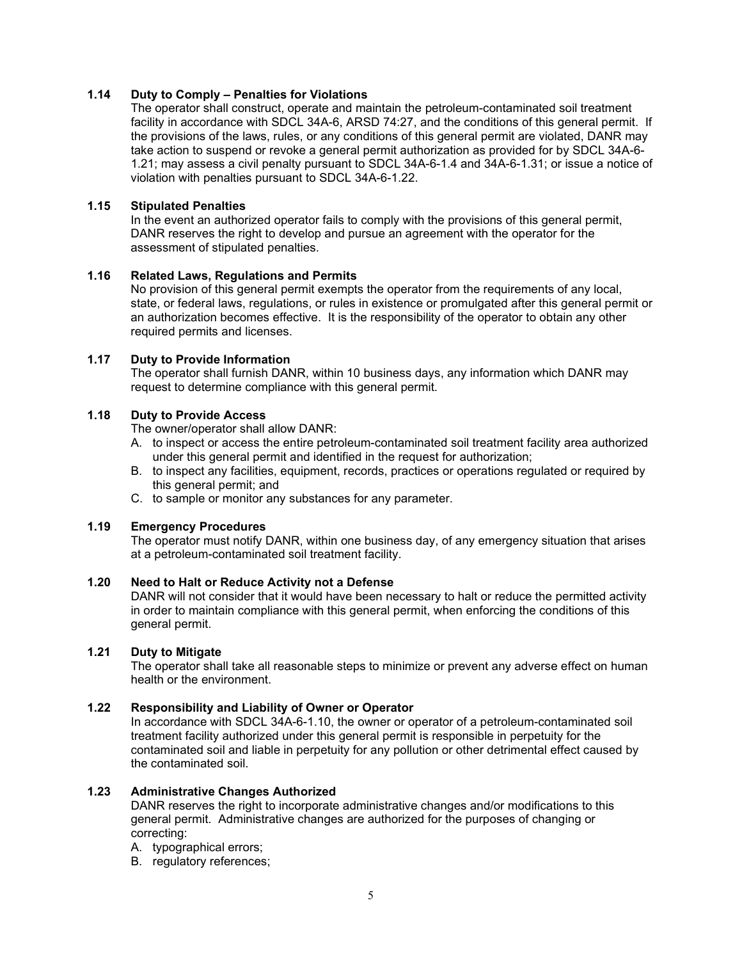# **1.14 Duty to Comply – Penalties for Violations**

The operator shall construct, operate and maintain the petroleum-contaminated soil treatment facility in accordance with SDCL 34A-6, ARSD 74:27, and the conditions of this general permit. If the provisions of the laws, rules, or any conditions of this general permit are violated, DANR may take action to suspend or revoke a general permit authorization as provided for by SDCL 34A-6- 1.21; may assess a civil penalty pursuant to SDCL 34A-6-1.4 and 34A-6-1.31; or issue a notice of violation with penalties pursuant to SDCL 34A-6-1.22.

### **1.15 Stipulated Penalties**

In the event an authorized operator fails to comply with the provisions of this general permit, DANR reserves the right to develop and pursue an agreement with the operator for the assessment of stipulated penalties.

### **1.16 Related Laws, Regulations and Permits**

No provision of this general permit exempts the operator from the requirements of any local, state, or federal laws, regulations, or rules in existence or promulgated after this general permit or an authorization becomes effective. It is the responsibility of the operator to obtain any other required permits and licenses.

#### **1.17 Duty to Provide Information**

The operator shall furnish DANR, within 10 business days, any information which DANR may request to determine compliance with this general permit.

# **1.18 Duty to Provide Access**

The owner/operator shall allow DANR:

- A. to inspect or access the entire petroleum-contaminated soil treatment facility area authorized under this general permit and identified in the request for authorization;
- B. to inspect any facilities, equipment, records, practices or operations regulated or required by this general permit; and
- C. to sample or monitor any substances for any parameter.

## **1.19 Emergency Procedures**

The operator must notify DANR, within one business day, of any emergency situation that arises at a petroleum-contaminated soil treatment facility.

## **1.20 Need to Halt or Reduce Activity not a Defense**

DANR will not consider that it would have been necessary to halt or reduce the permitted activity in order to maintain compliance with this general permit, when enforcing the conditions of this general permit.

### **1.21 Duty to Mitigate**

The operator shall take all reasonable steps to minimize or prevent any adverse effect on human health or the environment.

# **1.22 Responsibility and Liability of Owner or Operator**

In accordance with SDCL 34A-6-1.10, the owner or operator of a petroleum-contaminated soil treatment facility authorized under this general permit is responsible in perpetuity for the contaminated soil and liable in perpetuity for any pollution or other detrimental effect caused by the contaminated soil.

### **1.23 Administrative Changes Authorized**

DANR reserves the right to incorporate administrative changes and/or modifications to this general permit. Administrative changes are authorized for the purposes of changing or correcting:

- A. typographical errors;
- B. regulatory references;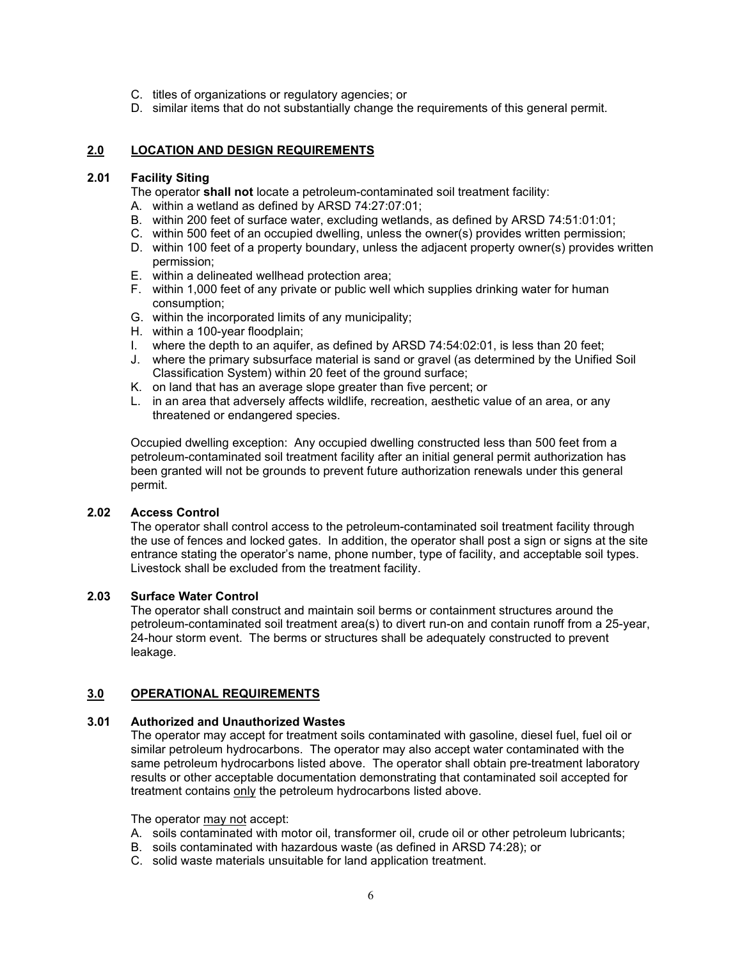- C. titles of organizations or regulatory agencies; or
- D. similar items that do not substantially change the requirements of this general permit.

## **2.0 LOCATION AND DESIGN REQUIREMENTS**

## **2.01 Facility Siting**

The operator **shall not** locate a petroleum-contaminated soil treatment facility:

- A. within a wetland as defined by ARSD 74:27:07:01;
- B. within 200 feet of surface water, excluding wetlands, as defined by ARSD 74:51:01:01;
- C. within 500 feet of an occupied dwelling, unless the owner(s) provides written permission;
- D. within 100 feet of a property boundary, unless the adjacent property owner(s) provides written permission;
- E. within a delineated wellhead protection area;
- F. within 1,000 feet of any private or public well which supplies drinking water for human consumption;
- G. within the incorporated limits of any municipality;
- H. within a 100-year floodplain;
- I. where the depth to an aquifer, as defined by ARSD 74:54:02:01, is less than 20 feet;
- J. where the primary subsurface material is sand or gravel (as determined by the Unified Soil Classification System) within 20 feet of the ground surface;
- K. on land that has an average slope greater than five percent; or
- L. in an area that adversely affects wildlife, recreation, aesthetic value of an area, or any threatened or endangered species.

Occupied dwelling exception: Any occupied dwelling constructed less than 500 feet from a petroleum-contaminated soil treatment facility after an initial general permit authorization has been granted will not be grounds to prevent future authorization renewals under this general permit.

# **2.02 Access Control**

The operator shall control access to the petroleum-contaminated soil treatment facility through the use of fences and locked gates. In addition, the operator shall post a sign or signs at the site entrance stating the operator's name, phone number, type of facility, and acceptable soil types. Livestock shall be excluded from the treatment facility.

#### **2.03 Surface Water Control**

The operator shall construct and maintain soil berms or containment structures around the petroleum-contaminated soil treatment area(s) to divert run-on and contain runoff from a 25-year, 24-hour storm event. The berms or structures shall be adequately constructed to prevent leakage.

### **3.0 OPERATIONAL REQUIREMENTS**

## **3.01 Authorized and Unauthorized Wastes**

The operator may accept for treatment soils contaminated with gasoline, diesel fuel, fuel oil or similar petroleum hydrocarbons. The operator may also accept water contaminated with the same petroleum hydrocarbons listed above. The operator shall obtain pre-treatment laboratory results or other acceptable documentation demonstrating that contaminated soil accepted for treatment contains only the petroleum hydrocarbons listed above.

The operator may not accept:

- A. soils contaminated with motor oil, transformer oil, crude oil or other petroleum lubricants;
- B. soils contaminated with hazardous waste (as defined in ARSD 74:28); or
- C. solid waste materials unsuitable for land application treatment.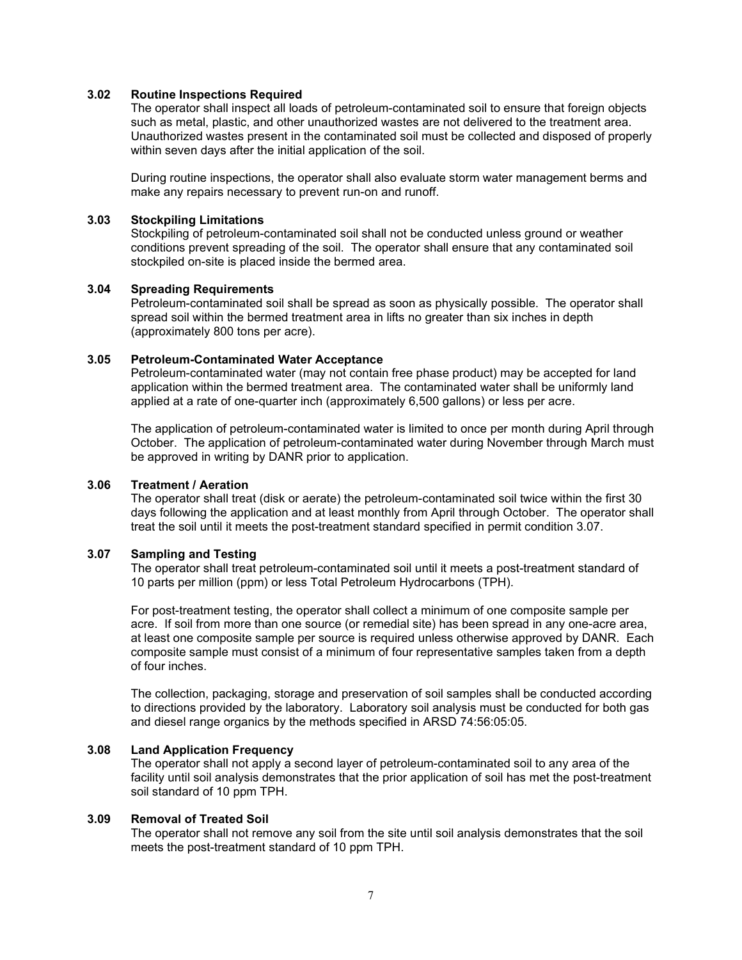## **3.02 Routine Inspections Required**

The operator shall inspect all loads of petroleum-contaminated soil to ensure that foreign objects such as metal, plastic, and other unauthorized wastes are not delivered to the treatment area. Unauthorized wastes present in the contaminated soil must be collected and disposed of properly within seven days after the initial application of the soil.

During routine inspections, the operator shall also evaluate storm water management berms and make any repairs necessary to prevent run-on and runoff.

## **3.03 Stockpiling Limitations**

Stockpiling of petroleum-contaminated soil shall not be conducted unless ground or weather conditions prevent spreading of the soil. The operator shall ensure that any contaminated soil stockpiled on-site is placed inside the bermed area.

#### **3.04 Spreading Requirements**

Petroleum-contaminated soil shall be spread as soon as physically possible. The operator shall spread soil within the bermed treatment area in lifts no greater than six inches in depth (approximately 800 tons per acre).

#### **3.05 Petroleum-Contaminated Water Acceptance**

Petroleum-contaminated water (may not contain free phase product) may be accepted for land application within the bermed treatment area. The contaminated water shall be uniformly land applied at a rate of one-quarter inch (approximately 6,500 gallons) or less per acre.

The application of petroleum-contaminated water is limited to once per month during April through October. The application of petroleum-contaminated water during November through March must be approved in writing by DANR prior to application.

#### **3.06 Treatment / Aeration**

The operator shall treat (disk or aerate) the petroleum-contaminated soil twice within the first 30 days following the application and at least monthly from April through October. The operator shall treat the soil until it meets the post-treatment standard specified in permit condition 3.07.

## **3.07 Sampling and Testing**

The operator shall treat petroleum-contaminated soil until it meets a post-treatment standard of 10 parts per million (ppm) or less Total Petroleum Hydrocarbons (TPH).

For post-treatment testing, the operator shall collect a minimum of one composite sample per acre. If soil from more than one source (or remedial site) has been spread in any one-acre area, at least one composite sample per source is required unless otherwise approved by DANR. Each composite sample must consist of a minimum of four representative samples taken from a depth of four inches.

The collection, packaging, storage and preservation of soil samples shall be conducted according to directions provided by the laboratory. Laboratory soil analysis must be conducted for both gas and diesel range organics by the methods specified in ARSD 74:56:05:05.

### **3.08 Land Application Frequency**

The operator shall not apply a second layer of petroleum-contaminated soil to any area of the facility until soil analysis demonstrates that the prior application of soil has met the post-treatment soil standard of 10 ppm TPH.

### **3.09 Removal of Treated Soil**

The operator shall not remove any soil from the site until soil analysis demonstrates that the soil meets the post-treatment standard of 10 ppm TPH.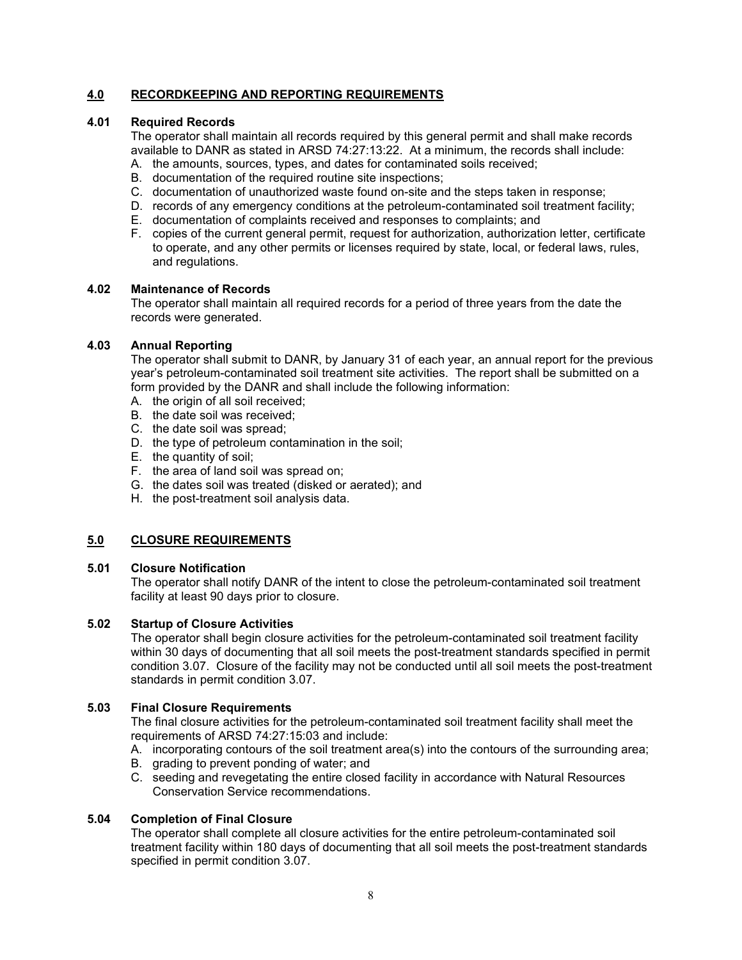# **4.0 RECORDKEEPING AND REPORTING REQUIREMENTS**

## **4.01 Required Records**

The operator shall maintain all records required by this general permit and shall make records available to DANR as stated in ARSD 74:27:13:22. At a minimum, the records shall include:

- A. the amounts, sources, types, and dates for contaminated soils received;
- B. documentation of the required routine site inspections;
- C. documentation of unauthorized waste found on-site and the steps taken in response;
- D. records of any emergency conditions at the petroleum-contaminated soil treatment facility;
- E. documentation of complaints received and responses to complaints; and
- F. copies of the current general permit, request for authorization, authorization letter, certificate to operate, and any other permits or licenses required by state, local, or federal laws, rules, and regulations.

### **4.02 Maintenance of Records**

The operator shall maintain all required records for a period of three years from the date the records were generated.

## **4.03 Annual Reporting**

The operator shall submit to DANR, by January 31 of each year, an annual report for the previous year's petroleum-contaminated soil treatment site activities. The report shall be submitted on a form provided by the DANR and shall include the following information:

- A. the origin of all soil received;
- B. the date soil was received;
- C. the date soil was spread;
- D. the type of petroleum contamination in the soil;
- E. the quantity of soil;
- F. the area of land soil was spread on;
- G. the dates soil was treated (disked or aerated); and
- H. the post-treatment soil analysis data.

# **5.0 CLOSURE REQUIREMENTS**

### **5.01 Closure Notification**

The operator shall notify DANR of the intent to close the petroleum-contaminated soil treatment facility at least 90 days prior to closure.

### **5.02 Startup of Closure Activities**

The operator shall begin closure activities for the petroleum-contaminated soil treatment facility within 30 days of documenting that all soil meets the post-treatment standards specified in permit condition 3.07. Closure of the facility may not be conducted until all soil meets the post-treatment standards in permit condition 3.07.

# **5.03 Final Closure Requirements**

The final closure activities for the petroleum-contaminated soil treatment facility shall meet the requirements of ARSD 74:27:15:03 and include:

- A. incorporating contours of the soil treatment area(s) into the contours of the surrounding area;
- B. grading to prevent ponding of water; and
- C. seeding and revegetating the entire closed facility in accordance with Natural Resources Conservation Service recommendations.

# **5.04 Completion of Final Closure**

The operator shall complete all closure activities for the entire petroleum-contaminated soil treatment facility within 180 days of documenting that all soil meets the post-treatment standards specified in permit condition 3.07.